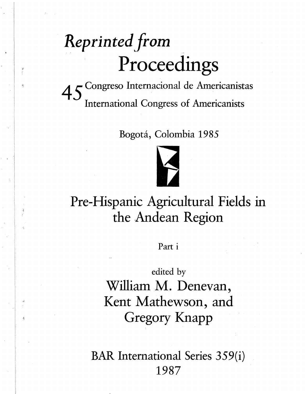# **Reprinted from** Proceedings

4 5 Congreso Internacional de Americanistas International Congress of Americanists

Bogota, Colombia 1985



## Pre-Hispanic Agricultural Fields in the Andean Region

Part i

edited by William M. Denevan, Kent Mathewson, and Gregory Knapp

BAR International Series 359(i) 1987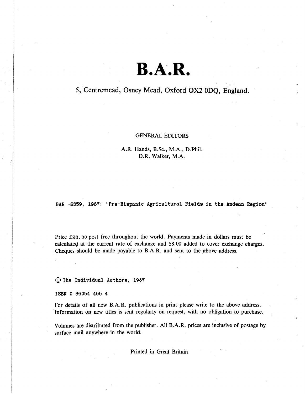**B.A.R.** 

### 5, Centremead, Osney Mead, Oxford OX2 ODQ, England.

#### GENERAL EDITORS

#### A.R. Hands, B.Sc., M.A., D.Phil. D.R. Walker, M.A.

BAR -8359, 1987: 'Pre-Hispanic Agricultural Fields in the Andean Region'

Price £28. 00 post free throughout the world. Payments made in dollars must be calculated at the current rate of exchange and \$8.00 added to cover exchange charges. Cheques should be made payable to B.A.R. and sent to the above address.

© The Individual Authors, 1987

ISBN 0 86054 466 4

For details of all new B.A.R. publications in print please write to the above address. Information on new titles is sent regularly on request, with no obligation to purchase.

Volumes are distributed from the publisher. All B.A.R. prices are inclusive of postage by surface mail anywhere in the world.

Printed in Great Britain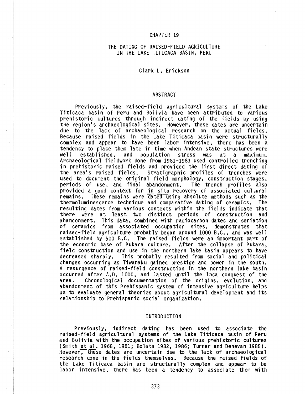#### CHAPTER 19

#### THE DATING OF RAISED-FIELD AGRICULTURE IN THE LAKE TITICACA BASIN, PERU

#### Clark L. Erickson

#### ABSTRACT

Previously, the raised-field agricultural systems of the Lake Titicaca basin of Peru and Bolivia have been attributed to various prehistoric cultures through indirect dating of the fields by using the region's archaeological sites. However, these dates are uncertain due to the lack of archaeological research on the actual fields. Because raised fields in the Lake Titicaca basin were structurally complex and appear to have been labor intensive, there has been a tendency to place them late in time when Andean state structures were<br>well established, and population stress was at a maximum. population stress was Archaeological fieldwork done from 1981-1983 used controlled trenching in prehistoric raised fields and provided the first direct dating of the area's raised fields. Stratigraphic profiles of trenches were used to document the original field morphology, construction stages, periods of use, and final abandonment. The trench profiles also periods of use, and final abandonment. provided a good context for in situ recovery of associated cultural remains. These remains were dated using absolute methods such as the thermoluminescence technique and comparative dating of ceramics. The resulting dates from various contexts within the fields indicate that there were at least two distinct periods of construction and abandonment. This data, combined with radiocarbon dates and seriation of ceramics from associated occupation sites, demonstrates that raised-field agriculture probably began around 1000 B.C., and was well established by 500 B.C. The raised fields were an important part of the economic base of Pukara culture. After the collapse of Pukara, the economic base of Pukara culture. field construction and use in the northern lake basin appears to have decreased sharply. This probably resulted from social and political changes occurring as Tiwanaku gained prestige and power in the south. A resurgence of raised-field construction in the northern lake basin occurred after A.D. 1000, and lasted until the Inca conquest of the Chronological documentation of the origins, evolution, and abandonment of this Prehispanic system of intensive agriculture helps us to evaluate general theories about agricultural development and its relationship to Prehispanic social organization.

#### INTRODUCTION

Previously, indirect dating has been used to associate the raised-field agricultural systems of the Lake Titicaca basin of Peru and Bolivia with the occupation sites of various prehistoric cultures (Smith et al. 1968, 1981; Kolata 1982, 1986; Turner and Denevan 1985). However, these dates are uncertain due to the lack of archaeological research done in the fields themselves. Because the raised fields of the Lake Titicaca basin are structurally complex and appear to be labor intensive, there has been a tendency to associate them with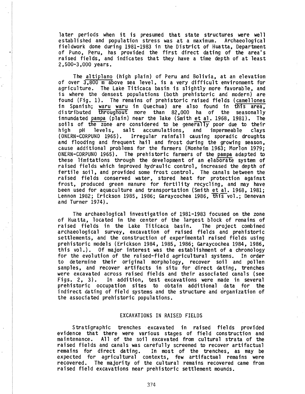later periods when it is presumed that state structures were well<br>established and population stress was at a maximum. Archaeological established and population stress was at a maximum. fieldwork done during 1981-1983 in the District of Huatta, Department of Puno, Peru, has provided the first direct dating of the area's raised fields, and indicates that they have a time depth of at least 2,500-3,000 years.

The altiplano (high plain) of Peru and Bolivia, at an elevation of over 3,800 m above sea level, is a very difficult environment for agriculture. The Lake Titicaca basin is slightly more favorable, and is where the densest populations (both prehistoric and modern) are found (Fig. 1). The remains of prehistoric raised fields (camellones in Spanish; waru waru in Quechua) are also found in this area, distributed throughout more than 82,000 ha of the seasonally innundated pampa (plain) near the lake (Smith et al. 1968, 1981). The soils of the zone are considered to be generally poor due to their<br>high pH levels, salt accumulations, and impermeable clavs accumulations, and impermeable (ONERN-CORPUNO 1965). Irregular rainfall causing sporadic droughts and flooding and frequent hail and frost during the growing season, cause additional problems for the farmers (Monheim 1963; Morlon 1979; ONERN-CORPUNO 1965). The prehistoric farmers of the pampa adapted to these limitations through the development of an elaborate system of raised fields which improved hydraulic control, increased the depth of fertile soil, and provided some frost control. The canals between the raised fields conserved water, stored heat for protection against frost, produced green manure for fertility recycling, and may have been used for aquaculture and transportation (Smith et al. 1968, 1981; Lennon 1982; Erickson 1985, 1986; Garaycochea 1986, this vol.; Denevan and Turner 1974).

The archaeological investigation of 1981-1983 focused on the zone of Huatta, located in the center of the largest block of remains of raised fields in the Lake Titicaca basin. The project combined archaeological survey, excavation of raised fields and prehistoric settlements, and the construction of experimental raised fields using prehistoric models (Erickson 1984, 1985, 1986; Garaycochea 1984, 1986, this vol.). Of major interest was the establishment of a chronology for the evolution of the raised-field agricultural systems. In order to determine their original morphology, recover soil and pollen samples, and recover artifacts in situ for direct dating, trenches were excavated across raised fields and their associated canals (see Figs. *2,* 3). In addition, test excavations were made in several prehistoric occupation sites to obtain additional data for the indirect dating of field systems and the structure and organization of the associated prehistoric populations.

#### EXCAVATIONS IN RAISED FIELDS

Stratigraphic trenches excavated in raised fields provided evidence that there were various stages of field construction and<br>maintenance. All of the soil excavated from cultural strata of the All of the soil excavated from cultural strata of the raised fields and canals was carefully screened to recover artifactual remains for direct dating. In most of the trenches, as may be expected for agricultural contexts, few artifactual remains were recovered. The majority of the cultural remains recovered came from raised field excavations near prehistoric settlement mounds.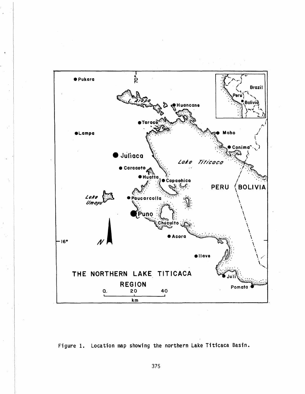

Figure 1. Location map showing the northern Lake Titicaca Basin.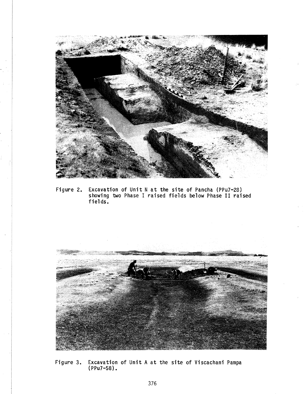

Figure 2. Excavation of Unit N at the site of Pancha (PPu7-28) showing two Phase I raised fields below Phase II raised fields.



Figure 3. Excavation of Unit A at the site of Viscachani Pampa (PPu7-58).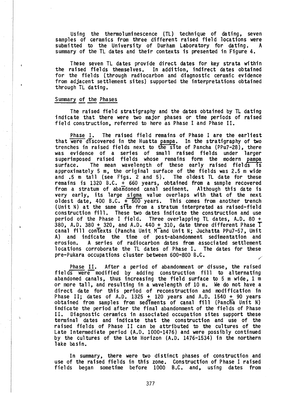Using the thermoluminescence (TL) technique of dating, seven samples of ceramics from three different raised field locations were submitted to the University of Durham Laboratory for dating. summary of the TL dates and their contexts is presented in Figure 4.

These seven TL dates provide direct dates for key strata within the raised fields themselves. In addition, indirect dates obtained for the fields (through radiocarbon and diagnostic ceramic evidence from adjacent settlement sites) supported the interpretations obtained through TL dating.

#### Summary of the Phases

 $\mathcal{L}$ 

The raised field stratigraphy and the dates obtained by TL dating indicate that there were two major phases or time periods of raised field construction, referred to here as Phase I and Phase II.

Phase I. The raised field remains of Phase I are the earliest that were discovered in the Huatta pampa. In the stratigraphy of two trenches in raised fields next to the site of Pancha (PPu7-28), there was evidence of a series of small raised fields under larger superimposed raised fields whose remains form the modern pampa<br>surface. The mean wavelength of these early raised fields is The mean wavelength of these early raised fields is approximately 5 m, the original surface of the fields was 2.5 m wide and .5 m tall (see Figs. 2 and 5). The oldest TL date for these remains is 1320 B.C. + 660 years, obtained from a sample recovered from a stratum of abandoned canal sediment. Although this date is very early, its large sigma value overlaps with that of the next oldest date, 400 B.C.  $+500$  years. This comes from another trench (Unit N) at the same sfte from a stratum interpreted as raised-field construction fill. These two dates indicate the construction and use period of the Phase I field. Three overlapping TL dates, A.D. 80 + 380, A.D. 380 + 320, and A.D. 440 + 310, date three different Phase  $\overline{I}$ canal fill contexts (Pancha Unit Mand Unit N; Juchatta PPu7-57, Unit A) and indicate the time of post-abandonment sedimentation and<br>erosion. A series of radiocarbon dates from associated settlement A series of radiocarbon dates from associated settlement locations corroborate the TL dates of Phase I. The dates for these pre-Pukara occupations cluster between 600-800 B.C.

Phase II. After a period of abandonment or disuse, the raised fields were modified by adding construction fill to alternating abandoned canals, thus increasing the field surface to 5 m wide, 1 m or more tall, and resulting in a wavelength of 10m. We do not have a direct date for this period of reconstruction and modification in Phase II; dates of A.D. 1325  $+$  120 years and A.D. 1540  $+$  90 years obtained from samples from sediments of canal fill (Pancha Unit N) indicate the period after the final abandonment of the fields of Phase II. Diagnostic ceramics in associated occupation sites support these terminal dates and indicate that the construction and use of the raised fields of Phase II can be attributed to the cultures of the Late Intermediate period (A.D. 1000-1476) and were possibly continued by the cultures of the Late Horizon (A.D. 1476-1534) in the northern lake basin.

In summary, there were two distinct phases of construction and use of the raised fields in this zone. Construction of Phase I raised fields began sometime before 1000 B.C. and, using dates from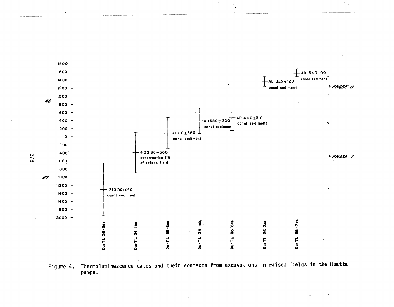

 $\mathbf{I}$ 

 $\epsilon_{\rm{in}}$ 

Thermoluminescence dates and their contexts from excavations in raised fields in the Huatta Figure 4. pampa.

378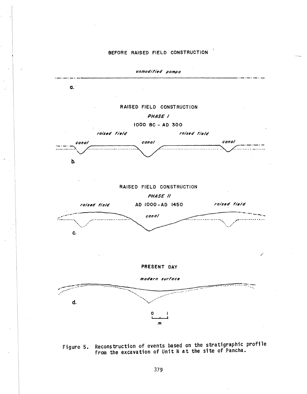

#### BEFORE RAISED FIELD CONSTRUCTION

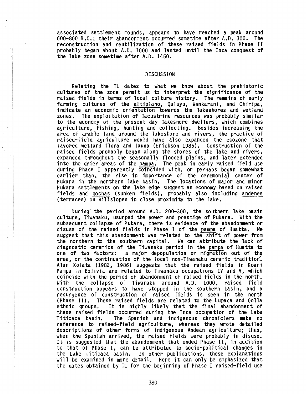associated settlement mounds, appears to have reached a peak around 600-800 B.C.; their abandonment occurred sometime after A.D. 300. The reconstruction and reutilization of these raised fields in Phase II probably began about A.D. 1000 and lasted until the Inca conquest of the lake zone sometime after A.D. 1450.

#### DISCUSSION

Relating the TL dates to what we know about the prehistoric cultures of the zone permit us to interpret the significance of the raised fields in terms of local culture history. The remains of early farming cultures of the altiplano, Qaluyu, Wankarani, and Chiripa, indicate an economic orientation towards the lakeshores and wetland zones. The exploitation of lacustrine resources was probably similar to the economy of the present day lakeshore dwellers, which combines agriculture, fishing, hunting and collecting. Besides increasing the area of arable land around the lakeshore and rivers, the practice of raised-field agriculture would have also expanded the ecozone that favored wetland flora and fauna (Erickson 1986). Construction of the raised fields probably began along the shores of the lake and rivers, expanded throughout the seasonally flooded plains, and later extended into the drier areas of the pampa. The peak in early raised field use during Phase I apparently co1nc1ded with, or perhaps began somewhat earlier than, the rise in importance of the ceremonial center of Pukara in the northern lake basin. The locations of major and minor Pukara settlements on the lake edge suggest an economy based on raised fields and qochas (sunken fields), probably also including andenes (terraces) on hillslopes in close proximity to the lake.

During the period around A.D. 200-300, the southern lake basin culture, Tiwanaku, usurped the power and prestige of Pukara. With the subsequent collapse of Pukara, there is evidence of the abandonment or disuse of the raised fields in Phase I of the pampa of Huatta. We suggest that this abandonment was related to the shift of power from the northern to the southern capital. We can attribute the lack of diagnostic ceramics of the Tiwanaku period in the pampa of Huatta to one of two factors: a major depopulation or migration out of the area, or the continuation of the local non-Tiwanaku ceramic tradition. Alan Kolata (1982, 1986} suggests that the raised fields in Koani Pampa in Bolivia are related to Tiwanaku occupations IV and V, which coincide with the period of abandonment of raised fields in the north. With the collapse of Tiwanaku around A.D. 1000, raised field construction appears to have stopped in the southern basin, and a resurgence of construction of raised fields is seen in the north (Phase II). These raised fields are related to the Lupaca and Qolla ethnic groups. It is highly likely that the final abandonment of these raised fields occurred during the Inca occupation of the Lake Titicaca basin. The Spanish and indigenous chroniclers make no reference to raised-field agriculture, whereas they wrote detailed descriptions of other forms of indigenous Andean agriculture; thus, when the Spanish arrived, the raised fields were probably in disuse. It is suggested that the abandonment that ended Phase II, in addition to that of Phase I, can be attributed to socio-political changes in the Lake Titicaca basin. In other publications, these explanations will be examined in more detail. Here it can only be emphasized that the dates obtained by TL for the beginning of Phase I raised-field use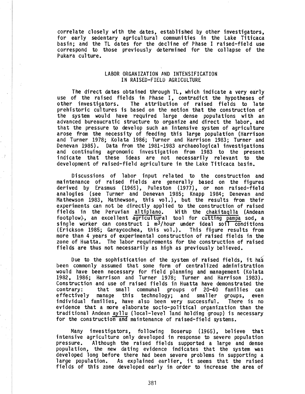correlate closely with the dates, established by other investigators, for early sedentary agricultural communities in the Lake Titicaca basin; and the TL dates for the decline of Phase I raised-field use correspond to those previously determined for the collapse of the Pukara culture.

#### LABOR ORGANIZATION AND INTENSIFICATION IN RAISED-FIELD AGRICULTURE

The direct dates obtained through TL, which indicate a very early use of the raised fields in Phase I, contradict the hypotheses of The attribution of raised fields to late prehistoric cultures is based on the notion that the construction of the system would have required large dense populations with an advanced bureaucratic structure to organize and direct the labor, and that the pressure to develop such an intensive system of agriculture arose from the necessity of feeding this large population (Harrison and Turner 1978; Kolata 1986; Turner and Harrison 1983; Turner and Denevan 1985). Data from the 1981-1983 archaeological investigations and continuing agronomic investigation from 1983 to the present indicate that these ideas are not necessarily relevant to the development of raised-field agriculture in the Lake Titicaca basin.

Discussions of labor input related to the construction and maintenance of raised fields are generally based on the figures derived by Erasmus (1965), Puleston (1977), or non raised-field analogies (see Turner and Denevan 1985; Knapp 1984; Denevan and Mathewson 1983, Mathewson, this vol.), but the results from their experiments can not be directly applied to the construction of raised<br>fields in the Peruvian altiplano. With the chakitaqlla (Andean fields in the Peruvian altiplano. footplow)., an excellent agricultural tool for cutting pampa sod, a single worker can construct  $1 \text{ m}^3$ /hour under ideal soil conditions (Erickson 1985; Garaycochea, this vol.). This figure results from more than 4 years of experimental construction of raised fields in the zone of Huatta. The labor requirements for the construction of raised fields are thus not necessarily as high as previously believed.

Due to the sophistication of the system of raised fields, it has been commonly assumed that some form of centralized administration would have been necessary for field planning and management (Kolata 1982, 1986; Harrison and Turner 1978; Turner and Harrison 1983). Construction and use of raised fields in Huatta have demonstrated the contrary: that small communal groups of 20-40 families can contrary: that small communal groups of 20-40 families can<br>effectively manage this technology; and smaller groups, even this technology; and smaller groups, even individual families, have also been very successful. There is no evidence that a more elaborate socio-political organization than the traditional Andean ayllu (local-level land holding group) is necessary for the construction and maintenance of raised-field systems.

Many investigators, following Boserup (1965), believe that intensive agriculture only developed in response to severe population pressure. Although the raised fields supported a large and dense population, the new dating evidence indicates that the system was developed long before there had been severe problems in supporting a<br>large population. As explained earlier, it seems that the raised As explained earlier, it seems that the raised fields of this zone developed early in order to increase the area of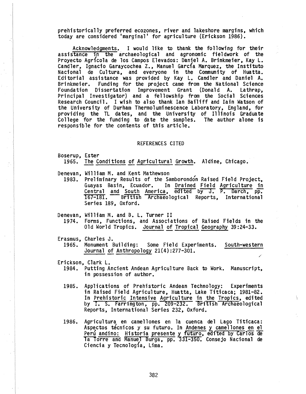prehistorically preferred ecozones, river and lakeshore margins, which today are considered 'marginal' for agriculture (Erickson 1986).

Acknowledgments. I would like to thank the following for their assistance in the archaeological and agronomic fieldwork of the Proyecto Agr{cola de los Campos Elevados: Daniel A. Brinkmeier, Kay L. Candler, Ignacio Garaycochea z., Manuel Garc{a Marquez, the Instituto Nacional de Cultura, and everyone in the Community of Huatta. Editorial assistance was provided by Kay L. Candler and Daniel A. Brinkmeier. Funding for the project came from the National Science Foundation Dissertation Improvement Grant (Donald A. Lathrap, Principal Investigator) and a fellowship from the Social Sciences Research Council. I wish to also thank Ian Bailiff and lain Watson of the University of Durham Thermoluminescence Laboratory, England, for providing the TL dates, and the University of Illinois Graduate College for the funding to date the samples. The author alone is responsible for the contents of this article.

#### REFERENCES CITED

- Boserup, Ester
- 1965. The Conditions of Agricultural Growth. Aldine, Chicago.
- Denevan, William M. and Kent Mathewson
- 1983. Preliminary Results of the Samborondon Raised Field Project, Guayas Basin, Ecuador. In Drained Field Agriculture in  $\text{Central}$  and South America, edited by J. P. Darch, pp. 167-181. - British Archaeological Reports, International Series 189, Oxford.
- Denevan, William M. and B. L. Turner II
	- 1974. Forms, Functions, and Associations of Raised Fields in the Old World Tropics. Journal of Tropical Geography 39:24-33.
- Erasmus, Charles J.
	- 1965. Monument Building: Some Field Experiments. South-western Journal of Anthropology 21(4):277-301.

*/* 

Erickson, Clark L.

- 1984. Putting Ancient Andean Agriculture Back to Work. Manuscript, in possession of author.
- 1985. Applications of Prehistoric Andean Technology: Experiments in Raised Field Agriculture, Huatta, Lake Titicaca; 1981-82. In Prehistoric Intensive Agriculture in the Tropics, edited by I. S. Farrington, pp. 209-232. British Archaeological Reports, International Series 232, Oxford.
- 1986. Agricultura en camellones en la cuenca del Lago Titicaca: Aspectos técnicos y su futuro. In Andenes y camellones en el Perú andino: Historia presente y futuro, edited by Carlos de Ta Torre and Manuel Burga, pp. 331-350. Consejo Nacional de Ciencia y Tecnología, Lima.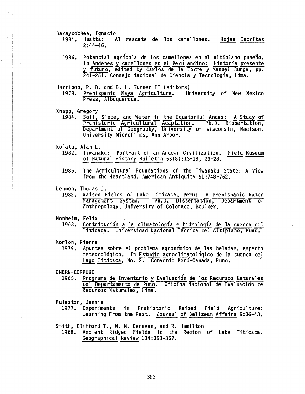Garaycochea, Ignacio

- 1984. Huatta: Al rescate de los camellones. Hojas Escritas 2:44-46.
- 1986. Potencial agrícola de los camellones en el altiplano puneño. In Andenes y camellones en el Perú andino: Historia presente y futuro, edited by Carlos de la Torre y Manuel Burga, pp. 241-251. Consejo Nacional de Ciencia y Tecnolog{a, Lima.

Harrison, P. D. and B. L. Turner II (editors)<br>1978. Prehispanic Maya Agriculture. University of New Mexico 1978. Prehispanic Maya Agriculture. Press, Albuquerque.

Knapp, Gregory

- 1984. Soil, Slope, and Water in the Equatorial Andes: A Study of prehistoric Agricultural Adaptation. Ph.D. Dissertation, Department of Geography, Un1Vers1ty of Wisconsin, Madison. University Microfilms, Ann Arbor.
- Kolata, Alan L.
- 1982. Tiwanaku: Portrait of an Andean Civilization. Field Museum of Natural History Bulletin 53(8): 13-18, 23-28.
	- 1986. The Agricultural Foundations of the Tiwanaku State: A View from the Heartland. American Antiquity 51:748-762.
- Lennon, Thomas J.

ŧ

1982. Raised Fields of Lake Titicaca, Peru: A Prehispanic Water Management System. Ph.D. Dissertation, Department of Anthropology, University of Colorado, Boulder.

- Monheim, Felix .<br>1963. Contribución a la climatología e hidrología de la cuenca del Titicaca. Universidad Nacional Tecnica del Altiplano, Puno.
- Morlon, Pierre
	- 1979. Apuntes sobre el problema agronómico de las heladas, aspecto meteorologico. In Estudio agroclimatologico de la cuenca del<br>Lago Titicaca, No. 2. Convenio Perú-Canada, Puno.

ONERN-CORPUNO

1965. Programa de Inventario y Evaluación de los Recursos Naturales del Departamento de Puno. Oficina Nacional de Evaluación de ReCursos NaturaleS, L1ma.

Puleston, Dennis

1977. Experiments in Prehistoric Raised Field Agriculture: Learning From the Past. Journal of Belizean Affairs 5:36-43.

Smith, Clifford T., W. M. Denevan, and R. Hamilton

1968. Ancient Ridged Fields in the Region of Lake Titicaca. Geographical Review 134:353-367.